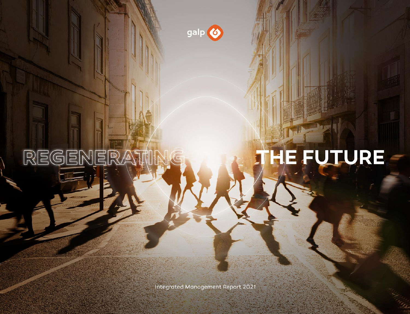

REGENER

# HE FUTURE

Integrated Management Report 2021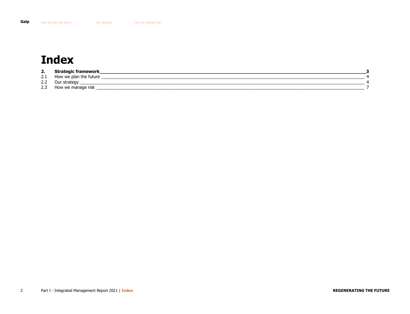# <span id="page-1-0"></span>**Index**

| 2.  | Strategic framework    |  |
|-----|------------------------|--|
| 2.1 | How we plan the future |  |
| 2.2 | Jur<br>strategy        |  |
| 2.3 | How we manage risk     |  |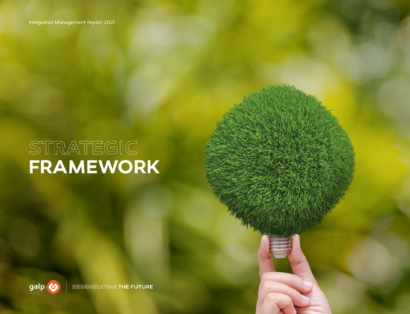# <span id="page-2-0"></span>STRATEGIC<br>FRAMEWORK

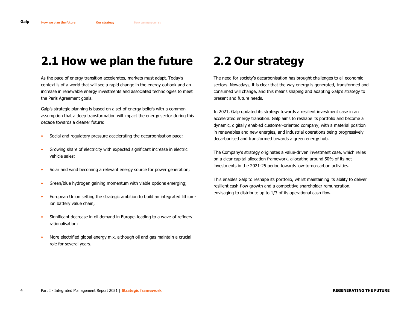# <span id="page-3-2"></span><span id="page-3-0"></span>**2.1 How we plan the future**

As the pace of energy transition accelerates, markets must adapt. Today's context is of a world that will see a rapid change in the energy outlook and an increase in renewable energy investments and associated technologies to meet the Paris Agreement goals.

Galp's strategic planning is based on a set of energy beliefs with a common assumption that a deep transformation will impact the energy sector during this decade towards a cleaner future:

- Social and regulatory pressure accelerating the decarbonisation pace;
- Growing share of electricity with expected significant increase in electric vehicle sales;
- Solar and wind becoming a relevant energy source for power generation;
- Green/blue hydrogen gaining momentum with viable options emerging;
- European Union setting the strategic ambition to build an integrated lithiumion battery value chain;
- Significant decrease in oil demand in Europe, leading to a wave of refinery rationalisation;
- More electrified global energy mix, although oil and gas maintain a crucial role for several years.

### <span id="page-3-1"></span>**2.2 Our strategy**

The need for society's decarbonisation has brought challenges to all economic sectors. Nowadays, it is clear that the way energy is generated, transformed and consumed will change, and this means shaping and adapting Galp's strategy to present and future needs.

In 2021, Galp updated its strategy towards a resilient investment case in an accelerated energy transition. Galp aims to reshape its portfolio and become a dynamic, digitally enabled customer-oriented company, with a material position in renewables and new energies, and industrial operations being progressively decarbonised and transformed towards a green energy hub.

The Company's strategy originates a value-driven investment case, which relies on a clear capital allocation framework, allocating around 50% of its net investments in the 2021-25 period towards low-to-no-carbon activities.

This enables Galp to reshape its portfolio, whilst maintaining its ability to deliver resilient cash-flow growth and a competitive shareholder remuneration, envisaging to distribute up to 1/3 of its operational cash flow.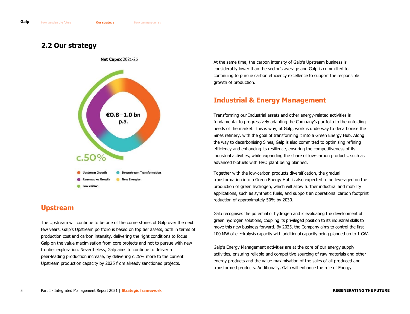#### **2.2 Our strategy**



#### **Upstream**

The Upstream will continue to be one of the cornerstones of Galp over the next few years. Galp's Upstream portfolio is based on top tier assets, both in terms of production cost and carbon intensity, delivering the right conditions to focus Galp on the value maximisation from core projects and not to pursue with new frontier exploration. Nevertheless, Galp aims to continue to deliver a peer-leading production increase, by delivering c.25% more to the current Upstream production capacity by 2025 from already sanctioned projects.

At the same time, the carbon intensity of Galp's Upstream business is considerably lower than the sector's average and Galp is committed to continuing to pursue carbon efficiency excellence to support the responsible growth of production.

#### **Industrial & Energy Management**

Transforming our Industrial assets and other energy-related activities is fundamental to progressively adapting the Company's portfolio to the unfolding needs of the market. This is why, at Galp, work is underway to decarbonise the Sines refinery, with the goal of transforming it into a Green Energy Hub. Along the way to decarbonising Sines, Galp is also committed to optimising refining efficiency and enhancing its resilience, ensuring the competitiveness of its industrial activities, while expanding the share of low-carbon products, such as advanced biofuels with HVO plant being planned.

Together with the low-carbon products diversification, the gradual transformation into a Green Energy Hub is also expected to be leveraged on the production of green hydrogen, which will allow further industrial and mobility applications, such as synthetic fuels, and support an operational carbon footprint reduction of approximately 50% by 2030.

Galp recognises the potential of hydrogen and is evaluating the development of green hydrogen solutions, coupling its privileged position to its industrial skills to move this new business forward. By 2025, the Company aims to control the first 100 MW of electrolysis capacity with additional capacity being planned up to 1 GW.

Galp's Energy Management activities are at the core of our energy supply activities, ensuring reliable and competitive sourcing of raw materials and other energy products and the value maximisation of the sales of all produced and transformed products. Additionally, Galp will enhance the role of Energy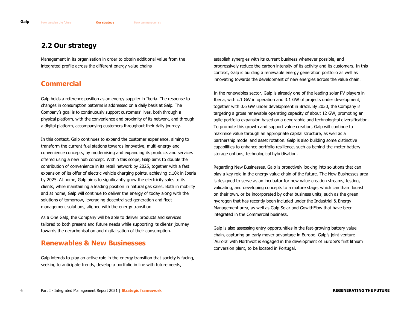#### **2.2 Our strategy**

Management in its organisation in order to obtain additional value from the integrated profile across the different energy value chains

#### **Commercial**

Galp holds a reference position as an energy supplier in Iberia. The response to changes in consumption patterns is addressed on a daily basis at Galp. The Company's goal is to continuously support customers' lives, both through a physical platform, with the convenience and proximity of its network, and through a digital platform, accompanying customers throughout their daily journey.

In this context, Galp continues to expand the customer experience, aiming to transform the current fuel stations towards innovative, multi-energy and convenience concepts, by modernising and expanding its products and services offered using a new hub concept. Within this scope, Galp aims to double the contribution of convenience in its retail network by 2025, together with a fast expansion of its offer of electric vehicle charging points, achieving c.10k in Iberia by 2025. At home, Galp aims to significantly grow the electricity sales to its clients, while maintaining a leading position in natural gas sales. Both in mobility and at home, Galp will continue to deliver the energy of today along with the solutions of tomorrow, leveraging decentralised generation and fleet management solutions, aligned with the energy transition.

As a One Galp, the Company will be able to deliver products and services tailored to both present and future needs while supporting its clients' journey towards the decarbonisation and digitalisation of their consumption.

#### **Renewables & New Businesses**

Galp intends to play an active role in the energy transition that society is facing, seeking to anticipate trends, develop a portfolio in line with future needs,

establish synergies with its current business whenever possible, and progressively reduce the carbon intensity of its activity and its customers. In this context, Galp is building a renewable energy generation portfolio as well as innovating towards the development of new energies across the value chain.

In the renewables sector, Galp is already one of the leading solar PV players in Iberia, with c.1 GW in operation and 3.1 GW of projects under development, together with 0.6 GW under development in Brazil. By 2030, the Company is targeting a gross renewable operating capacity of about 12 GW, promoting an agile portfolio expansion based on a geographic and technological diversification. To promote this growth and support value creation, Galp will continue to maximise value through an appropriate capital structure, as well as a partnership model and asset rotation. Galp is also building some distinctive capabilities to enhance portfolio resilience, such as behind-the-meter battery storage options, technological hybridisation.

Regarding New Businesses, Galp is proactively looking into solutions that can play a key role in the energy value chain of the future. The New Businesses area is designed to serve as an incubator for new value creation streams, testing, validating, and developing concepts to a mature stage, which can than flourish on their own, or be incorporated by other business units, such as the green hydrogen that has recently been included under the Industrial & Energy Management area, as well as Galp Solar and GowithFlow that have been integrated in the Commercial business.

Galp is also assessing entry opportunities in the fast-growing battery value chain, capturing an early mover advantage in Europe. Galp's joint venture 'Aurora' with Northvolt is engaged in the development of Europe's first lithium conversion plant, to be located in Portugal.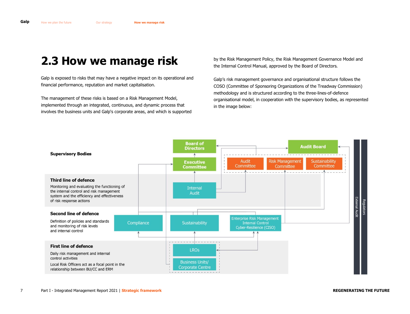<span id="page-6-1"></span><span id="page-6-0"></span>Galp is exposed to risks that may have a negative impact on its operational and financial performance, reputation and market capitalisation.

The management of these risks is based on a Risk Management Model, implemented through an integrated, continuous, and dynamic process that involves the business units and Galp's corporate areas, and which is supported by the Risk Management Policy, the Risk Management Governance Model and the Internal Control Manual, approved by the Board of Directors.

Galp's risk management governance and organisational structure follows the COSO (Committee of Sponsoring Organizations of the Treadway Commission) methodology and is structured according to the three-lines-of-defence organisational model, in cooperation with the supervisory bodies, as represented in the image below:

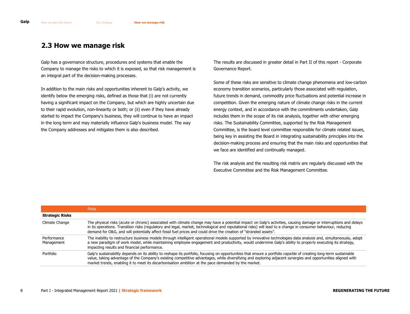Galp has a governance structure, procedures and systems that enable the Company to manage the risks to which it is exposed, so that risk management is an integral part of the decision-making processes.

In addition to the main risks and opportunities inherent to Galp's activity, we identify below the emerging risks, defined as those that (i) are not currently having a significant impact on the Company, but which are highly uncertain due to their rapid evolution, non-linearity or both; or (ii) even if they have already started to impact the Company's business, they will continue to have an impact in the long term and may materially influence Galp's business model. The way the Company addresses and mitigates them is also described.

The results are discussed in greater detail in Part II of this report - Corporate Governance Report.

Some of these risks are sensitive to climate change phenomena and low-carbon economy transition scenarios, particularly those associated with regulation, future trends in demand, commodity price fluctuations and potential increase in competition. Given the emerging nature of climate change risks in the current energy context, and in accordance with the commitments undertaken, Galp includes them in the scope of its risk analysis, together with other emerging risks. The Sustainability Committee, supported by the Risk Management Committee, is the board level committee responsible for climate related issues, being key in assisting the Board in integrating sustainability principles into the decision-making process and ensuring that the main risks and opportunities that we face are identified and continually managed.

The risk analysis and the resulting risk matrix are regularly discussed with the Executive Committee and the Risk Management Committee.

|                           | <b>Risks</b>                                                                                                                                                                                                                                                                                                                                                                                                                                             |
|---------------------------|----------------------------------------------------------------------------------------------------------------------------------------------------------------------------------------------------------------------------------------------------------------------------------------------------------------------------------------------------------------------------------------------------------------------------------------------------------|
| <b>Strategic Risks</b>    |                                                                                                                                                                                                                                                                                                                                                                                                                                                          |
| Climate Change            | The physical risks (acute or chronic) associated with climate change may have a potential impact on Galp's activities, causing damage or interruptions and delays<br>in its operations. Transition risks (regulatory and legal, market, technological and reputational risks) will lead to a change in consumer behaviour, reducing<br>demand for O&G, and will potentially affect fossil fuel prices and could drive the creation of "stranded assets". |
| Performance<br>Management | The inability to restructure business models through intelligent operational models supported by innovative technologies data analysis and, simultaneously, adopt<br>a new paradigm of work model, while maintaining employee engagement and productivity, would undermine Galp's ability to properly executing its strategy,<br>impacting results and financial performance.                                                                            |
| Portfolio                 | Galp's sustainability depends on its ability to reshape its portfolio, focusing on opportunities that ensure a portfolio capable of creating long-term sustainable<br>value, taking advantage of the Company's existing competitive advantages, while diversifying and exploring adjacent synergies and opportunities aligned with<br>market trends, enabling it to meet its decarbonisation ambition at the pace demanded by the market.                |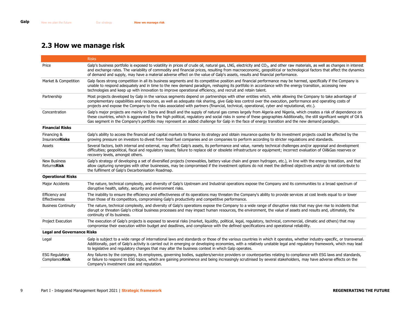|                                                | <b>Risks</b>                                                                                                                                                                                                                                                                                                                                                                                                                                                                                    |
|------------------------------------------------|-------------------------------------------------------------------------------------------------------------------------------------------------------------------------------------------------------------------------------------------------------------------------------------------------------------------------------------------------------------------------------------------------------------------------------------------------------------------------------------------------|
| Price                                          | Galp's business portfolio is exposed to volatility in prices of crude oil, natural gas, LNG, electricity and $CO2$ , and other raw materials, as well as changes in interest<br>and exchange rates. The variability of commodity and financial prices, resulting from macroeconomic, geopolitical or technological factors that affect the dynamics<br>of demand and supply, may have a material adverse effect on the value of Galp's assets, results and financial performance.               |
| Market & Competition                           | Galp faces strong competition in all its business segments and its competitive position and financial performance may be harmed, specifically if the Company is<br>unable to respond adequately and in time to the new demand paradigm, reshaping its portfolio in accordance with the energy transition, accessing new<br>technologies and keep up with innovation to improve operational efficiency, and recruit and retain talent.                                                           |
| Partnership                                    | Most projects developed by Galp in the various segments depend on partnerships with other entities which, while allowing the Company to take advantage of<br>complementary capabilities and resources, as well as adequate risk sharing, give Galp less control over the execution, performance and operating costs of<br>projects and expose the Company to the risks associated with partners (financial, technical, operational, cyber and reputational, etc.).                              |
| Concentration                                  | Galp's major projects are mainly in Iberia and Brazil and the supply of natural gas comes largely from Algeria and Nigeria, which creates a risk of dependence on<br>these countries, which is aggravated by the high political, regulatory and social risks in some of these geographies Additionally, the still significant weight of Oil &<br>Gas segment in the Company's portfolio may represent an added challenge for Galp in the face of energy transition and the new demand paradigm. |
| <b>Financial Risks</b>                         |                                                                                                                                                                                                                                                                                                                                                                                                                                                                                                 |
| Financing &<br><b>InsuranceRisks</b>           | Galp's ability to access the financial and capital markets to finance its strategy and obtain insurance quotes for its investment projects could be affected by the<br>growing pressure on investors to divest from fossil fuel companies and on companies to perform according to stricter regulations and standards.                                                                                                                                                                          |
| Assets                                         | Several factors, both internal and external, may affect Galp's assets, its performance and value, namely technical challenges and/or appraisal and development<br>difficulties; geopolitical, fiscal and regulatory issues; failure to replace old or obsolete infrastructure or equipment; incorrect evaluation of Oil&Gas reserves or<br>recovery levels, amongst others.                                                                                                                     |
| <b>New Business</b><br><b>ReturnsRisk</b>      | Galp's strategy of developing a set of diversified projects (renewables, battery value chain and green hydrogen, etc.), in line with the energy transition, and that<br>allow capturing synergies with other businesses, may be compromised if the investment options do not meet the defined objectives and/or do not contribute to<br>the fulfilment of Galp's Decarbonisation Roadmap.                                                                                                       |
| <b>Operational Risks</b>                       |                                                                                                                                                                                                                                                                                                                                                                                                                                                                                                 |
| Major Accidents                                | The nature, technical complexity, and diversity of Galp's Upstream and Industrial operations expose the Company and its communities to a broad spectrum of<br>disruptive health, safety, security and environment risks.                                                                                                                                                                                                                                                                        |
| Efficiency and<br>Effectiveness                | The inability to ensure the efficiency and effectiveness of its operations may threaten the Company's ability to provide services at cost levels equal to or lower<br>than those of its competitors, compromising Galp's productivity and competitive performance.                                                                                                                                                                                                                              |
| <b>Business Continuity</b>                     | The nature, technical complexity, and diversity of Galp's operations expose the Company to a wide range of disruptive risks that may give rise to incidents that<br>disrupt or threaten Galp's critical business processes and may impact human resources, the environment, the value of assets and results and, ultimately, the<br>continuity of its business.                                                                                                                                 |
| Project Execution                              | The execution of Galp's projects is exposed to several risks (market, liquidity, political, legal, regulatory, technical, commercial, climatic and others) that may<br>compromise their execution within budget and deadlines, and compliance with the defined specifications and operational reliability.                                                                                                                                                                                      |
| <b>Legal and Governance Risks</b>              |                                                                                                                                                                                                                                                                                                                                                                                                                                                                                                 |
| Legal                                          | Galp is subject to a wide range of international laws and standards or those of the various countries in which it operates, whether industry-specific, or transversal.<br>Additionally, part of Galp's activity is carried out in emerging or developing economies, with a relatively unstable legal and regulatory framework, which may lead<br>to legislative and regulatory changes that may alter the business context in which Galp operates.                                              |
| <b>ESG Regulatory</b><br><b>ComplianceRisk</b> | Any failures by the company, its employees, governing bodies, suppliers/service providers or counterparties relating to compliance with ESG laws and standards,<br>or failure to respond to ESG topics, which are gaining prominence and being increasingly scrutinised by several stakeholders, may have adverse effects on the<br>Company's investment case and reputation.                                                                                                                   |